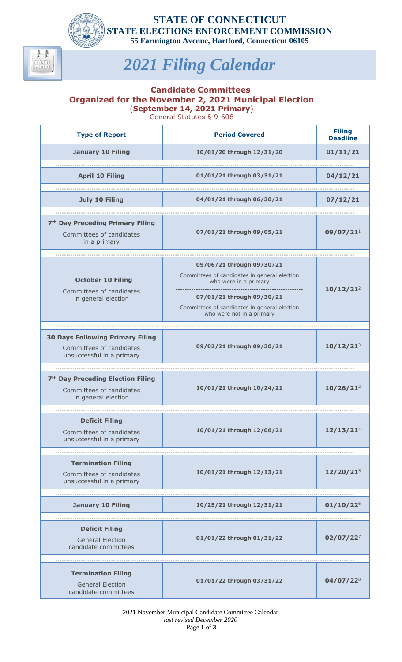

 $\begin{array}{|c|c|c|}\hline 1 & 2 & 3 \\ \hline 4 & 5 & 6 \\ \hline \end{array}$ 

**STATE OF CONNECTICUT STATE ELECTIONS ENFORCEMENT COMMISSION 55 Farmington Avenue, Hartford, Connecticut 06105**

## *2021 Filing Calendar*

## **Candidate Committees Organized for the November 2, 2021 Municipal Election**  (**September 14, 2021 Primary**)

General Statutes § 9-608

| <b>Type of Report</b>                                                                            | <b>Period Covered</b>                                                                                  | <b>Filing</b><br><b>Deadline</b> |
|--------------------------------------------------------------------------------------------------|--------------------------------------------------------------------------------------------------------|----------------------------------|
| <b>January 10 Filing</b>                                                                         | 10/01/20 through 12/31/20                                                                              | 01/11/21                         |
|                                                                                                  |                                                                                                        |                                  |
| <b>April 10 Filing</b>                                                                           | 01/01/21 through 03/31/21                                                                              | 04/12/21                         |
| <b>July 10 Filing</b>                                                                            | 04/01/21 through 06/30/21                                                                              | 07/12/21                         |
|                                                                                                  |                                                                                                        |                                  |
| 7 <sup>th</sup> Day Preceding Primary Filing<br>Committees of candidates<br>in a primary         | 07/01/21 through 09/05/21                                                                              | 09/07/21 <sup>1</sup>            |
|                                                                                                  |                                                                                                        |                                  |
| <b>October 10 Filing</b><br>Committees of candidates<br>in general election                      | 09/06/21 through 09/30/21<br>Committees of candidates in general election<br>who were in a primary     | 10/12/21 <sup>2</sup>            |
|                                                                                                  | 07/01/21 through 09/30/21<br>Committees of candidates in general election<br>who were not in a primary |                                  |
|                                                                                                  |                                                                                                        |                                  |
| <b>30 Days Following Primary Filing</b><br>Committees of candidates<br>unsuccessful in a primary | 09/02/21 through 09/30/21                                                                              | $10/12/21^{3}$                   |
|                                                                                                  |                                                                                                        |                                  |
| 7 <sup>th</sup> Day Preceding Election Filing<br>Committees of candidates<br>in general election | 10/01/21 through 10/24/21                                                                              | $10/26/21^2$                     |
|                                                                                                  |                                                                                                        |                                  |
| <b>Deficit Filing</b><br>Committees of candidates<br>unsuccessful in a primary                   | 10/01/21 through 12/06/21                                                                              | 12/13/21 <sup>4</sup>            |
|                                                                                                  |                                                                                                        |                                  |
| <b>Termination Filing</b><br>Committees of candidates<br>unsuccessful in a primary               | 10/01/21 through 12/13/21                                                                              | $12/20/21^{5}$                   |
| <b>January 10 Filing</b>                                                                         | 10/25/21 through 12/31/21                                                                              | $01/10/22^{6}$                   |
|                                                                                                  |                                                                                                        |                                  |
| <b>Deficit Filing</b><br><b>General Election</b><br>candidate committees                         | 01/01/22 through 01/31/22                                                                              | $02/07/22^{7}$                   |
|                                                                                                  |                                                                                                        |                                  |
| <b>Termination Filing</b><br><b>General Election</b><br>candidate committees                     | 01/01/22 through 03/31/22                                                                              | $04/07/22^{8}$                   |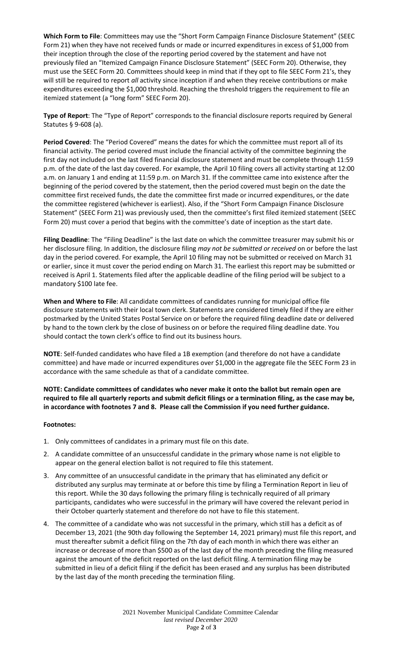**Which Form to File**: Committees may use the "Short Form Campaign Finance Disclosure Statement" (SEEC Form 21) when they have not received funds or made or incurred expenditures in excess of \$1,000 from their inception through the close of the reporting period covered by the statement and have not previously filed an "Itemized Campaign Finance Disclosure Statement" (SEEC Form 20). Otherwise, they must use the SEEC Form 20. Committees should keep in mind that if they opt to file SEEC Form 21's, they will still be required to report *all* activity since inception if and when they receive contributions or make expenditures exceeding the \$1,000 threshold. Reaching the threshold triggers the requirement to file an itemized statement (a "long form" SEEC Form 20).

**Type of Report**: The "Type of Report" corresponds to the financial disclosure reports required by General Statutes § 9-608 (a).

**Period Covered**: The "Period Covered" means the dates for which the committee must report all of its financial activity. The period covered must include the financial activity of the committee beginning the first day not included on the last filed financial disclosure statement and must be complete through 11:59 p.m. of the date of the last day covered. For example, the April 10 filing covers all activity starting at 12:00 a.m. on January 1 and ending at 11:59 p.m. on March 31. If the committee came into existence after the beginning of the period covered by the statement, then the period covered must begin on the date the committee first received funds, the date the committee first made or incurred expenditures, or the date the committee registered (whichever is earliest). Also, if the "Short Form Campaign Finance Disclosure Statement" (SEEC Form 21) was previously used, then the committee's first filed itemized statement (SEEC Form 20) must cover a period that begins with the committee's date of inception as the start date.

**Filing Deadline**: The "Filing Deadline" is the last date on which the committee treasurer may submit his or her disclosure filing. In addition, the disclosure filing *may not be submitted or received* on or before the last day in the period covered. For example, the April 10 filing may not be submitted or received on March 31 or earlier, since it must cover the period ending on March 31. The earliest this report may be submitted or received is April 1. Statements filed after the applicable deadline of the filing period will be subject to a mandatory \$100 late fee.

**When and Where to File**: All candidate committees of candidates running for municipal office file disclosure statements with their local town clerk. Statements are considered timely filed if they are either postmarked by the United States Postal Service on or before the required filing deadline date or delivered by hand to the town clerk by the close of business on or before the required filing deadline date. You should contact the town clerk's office to find out its business hours.

**NOTE**: Self-funded candidates who have filed a 1B exemption (and therefore do not have a candidate committee) and have made or incurred expenditures over \$1,000 in the aggregate file the SEEC Form 23 in accordance with the same schedule as that of a candidate committee.

**NOTE: Candidate committees of candidates who never make it onto the ballot but remain open are required to file all quarterly reports and submit deficit filings or a termination filing, as the case may be, in accordance with footnotes 7 and 8. Please call the Commission if you need further guidance.**

## **Footnotes:**

- 1. Only committees of candidates in a primary must file on this date.
- 2. A candidate committee of an unsuccessful candidate in the primary whose name is not eligible to appear on the general election ballot is not required to file this statement.
- 3. Any committee of an unsuccessful candidate in the primary that has eliminated any deficit or distributed any surplus may terminate at or before this time by filing a Termination Report in lieu of this report. While the 30 days following the primary filing is technically required of all primary participants, candidates who were successful in the primary will have covered the relevant period in their October quarterly statement and therefore do not have to file this statement.
- 4. The committee of a candidate who was not successful in the primary, which still has a deficit as of December 13, 2021 (the 90th day following the September 14, 2021 primary) must file this report, and must thereafter submit a deficit filing on the 7th day of each month in which there was either an increase or decrease of more than \$500 as of the last day of the month preceding the filing measured against the amount of the deficit reported on the last deficit filing. A termination filing may be submitted in lieu of a deficit filing if the deficit has been erased and any surplus has been distributed by the last day of the month preceding the termination filing.